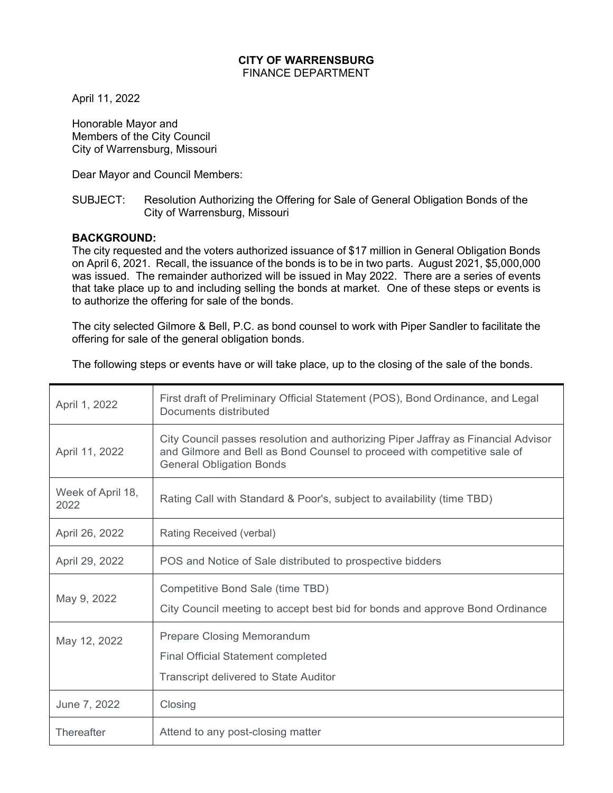## **CITY OF WARRENSBURG**  FINANCE DEPARTMENT

April 11, 2022

Honorable Mayor and Members of the City Council City of Warrensburg, Missouri

Dear Mayor and Council Members:

## SUBJECT: Resolution Authorizing the Offering for Sale of General Obligation Bonds of the City of Warrensburg, Missouri

# **BACKGROUND:**

The city requested and the voters authorized issuance of \$17 million in General Obligation Bonds on April 6, 2021. Recall, the issuance of the bonds is to be in two parts. August 2021, \$5,000,000 was issued. The remainder authorized will be issued in May 2022. There are a series of events that take place up to and including selling the bonds at market. One of these steps or events is to authorize the offering for sale of the bonds.

The city selected Gilmore & Bell, P.C. as bond counsel to work with Piper Sandler to facilitate the offering for sale of the general obligation bonds.

The following steps or events have or will take place, up to the closing of the sale of the bonds.

| April 1, 2022             | First draft of Preliminary Official Statement (POS), Bond Ordinance, and Legal<br>Documents distributed                                                                                          |
|---------------------------|--------------------------------------------------------------------------------------------------------------------------------------------------------------------------------------------------|
| April 11, 2022            | City Council passes resolution and authorizing Piper Jaffray as Financial Advisor<br>and Gilmore and Bell as Bond Counsel to proceed with competitive sale of<br><b>General Obligation Bonds</b> |
| Week of April 18,<br>2022 | Rating Call with Standard & Poor's, subject to availability (time TBD)                                                                                                                           |
| April 26, 2022            | Rating Received (verbal)                                                                                                                                                                         |
| April 29, 2022            | POS and Notice of Sale distributed to prospective bidders                                                                                                                                        |
| May 9, 2022               | Competitive Bond Sale (time TBD)<br>City Council meeting to accept best bid for bonds and approve Bond Ordinance                                                                                 |
| May 12, 2022              | <b>Prepare Closing Memorandum</b><br><b>Final Official Statement completed</b><br><b>Transcript delivered to State Auditor</b>                                                                   |
| June 7, 2022              | Closing                                                                                                                                                                                          |
| <b>Thereafter</b>         | Attend to any post-closing matter                                                                                                                                                                |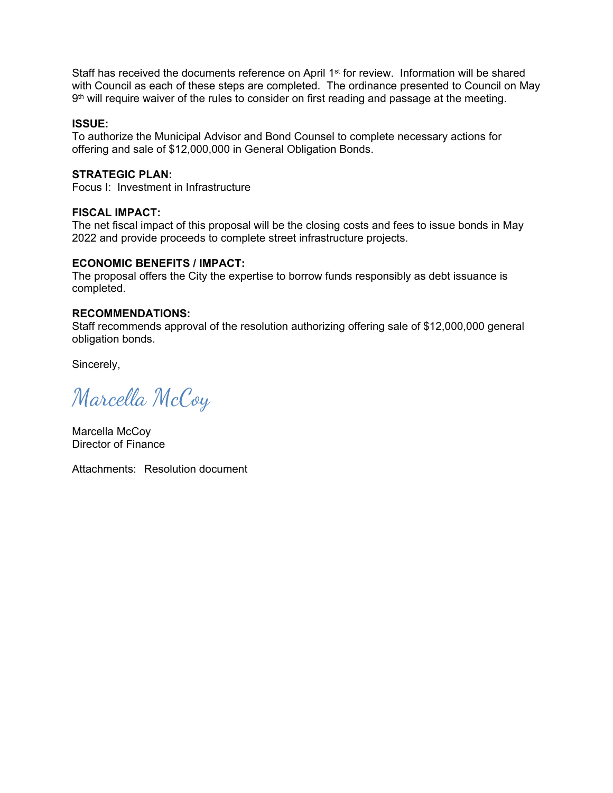Staff has received the documents reference on April 1<sup>st</sup> for review. Information will be shared with Council as each of these steps are completed. The ordinance presented to Council on May  $9<sup>th</sup>$  will require waiver of the rules to consider on first reading and passage at the meeting.

### **ISSUE:**

To authorize the Municipal Advisor and Bond Counsel to complete necessary actions for offering and sale of \$12,000,000 in General Obligation Bonds.

## **STRATEGIC PLAN:**

Focus I: Investment in Infrastructure

## **FISCAL IMPACT:**

The net fiscal impact of this proposal will be the closing costs and fees to issue bonds in May 2022 and provide proceeds to complete street infrastructure projects.

#### **ECONOMIC BENEFITS / IMPACT:**

The proposal offers the City the expertise to borrow funds responsibly as debt issuance is completed.

## **RECOMMENDATIONS:**

Staff recommends approval of the resolution authorizing offering sale of \$12,000,000 general obligation bonds.

Sincerely,

Marcella McCoy

Marcella McCoy Director of Finance

Attachments: Resolution document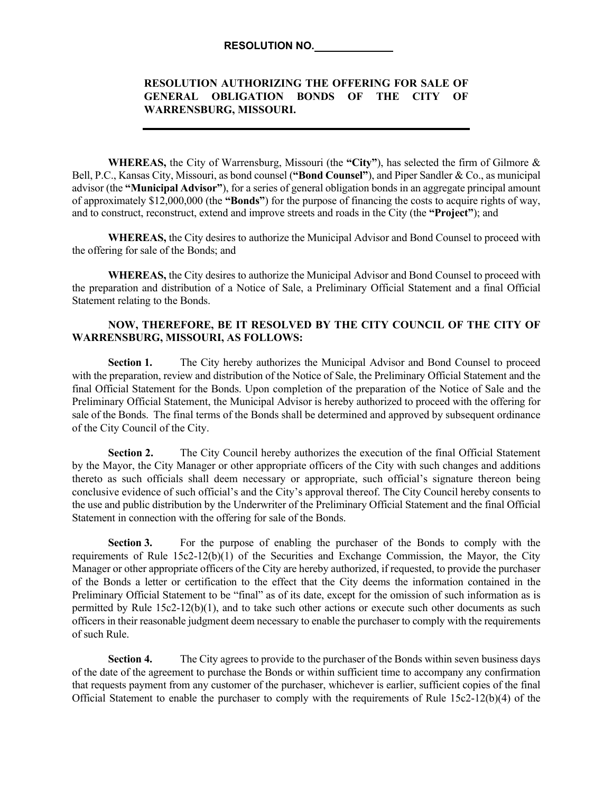#### **RESOLUTION NO.**

### **RESOLUTION AUTHORIZING THE OFFERING FOR SALE OF GENERAL OBLIGATION BONDS OF THE CITY OF WARRENSBURG, MISSOURI.**

**WHEREAS,** the City of Warrensburg, Missouri (the **"City"**), has selected the firm of Gilmore & Bell, P.C., Kansas City, Missouri, as bond counsel (**"Bond Counsel"**), and Piper Sandler & Co., as municipal advisor (the **"Municipal Advisor"**), for a series of general obligation bonds in an aggregate principal amount of approximately \$12,000,000 (the **"Bonds"**) for the purpose of financing the costs to acquire rights of way, and to construct, reconstruct, extend and improve streets and roads in the City (the **"Project"**); and

**WHEREAS,** the City desires to authorize the Municipal Advisor and Bond Counsel to proceed with the offering for sale of the Bonds; and

**WHEREAS,** the City desires to authorize the Municipal Advisor and Bond Counsel to proceed with the preparation and distribution of a Notice of Sale, a Preliminary Official Statement and a final Official Statement relating to the Bonds.

#### **NOW, THEREFORE, BE IT RESOLVED BY THE CITY COUNCIL OF THE CITY OF WARRENSBURG, MISSOURI, AS FOLLOWS:**

Section 1. The City hereby authorizes the Municipal Advisor and Bond Counsel to proceed with the preparation, review and distribution of the Notice of Sale, the Preliminary Official Statement and the final Official Statement for the Bonds. Upon completion of the preparation of the Notice of Sale and the Preliminary Official Statement, the Municipal Advisor is hereby authorized to proceed with the offering for sale of the Bonds. The final terms of the Bonds shall be determined and approved by subsequent ordinance of the City Council of the City.

**Section 2.** The City Council hereby authorizes the execution of the final Official Statement by the Mayor, the City Manager or other appropriate officers of the City with such changes and additions thereto as such officials shall deem necessary or appropriate, such official's signature thereon being conclusive evidence of such official's and the City's approval thereof. The City Council hereby consents to the use and public distribution by the Underwriter of the Preliminary Official Statement and the final Official Statement in connection with the offering for sale of the Bonds.

**Section 3.** For the purpose of enabling the purchaser of the Bonds to comply with the requirements of Rule 15c2-12(b)(1) of the Securities and Exchange Commission, the Mayor, the City Manager or other appropriate officers of the City are hereby authorized, if requested, to provide the purchaser of the Bonds a letter or certification to the effect that the City deems the information contained in the Preliminary Official Statement to be "final" as of its date, except for the omission of such information as is permitted by Rule 15c2-12(b)(1), and to take such other actions or execute such other documents as such officers in their reasonable judgment deem necessary to enable the purchaser to comply with the requirements of such Rule.

**Section 4.** The City agrees to provide to the purchaser of the Bonds within seven business days of the date of the agreement to purchase the Bonds or within sufficient time to accompany any confirmation that requests payment from any customer of the purchaser, whichever is earlier, sufficient copies of the final Official Statement to enable the purchaser to comply with the requirements of Rule 15c2-12(b)(4) of the